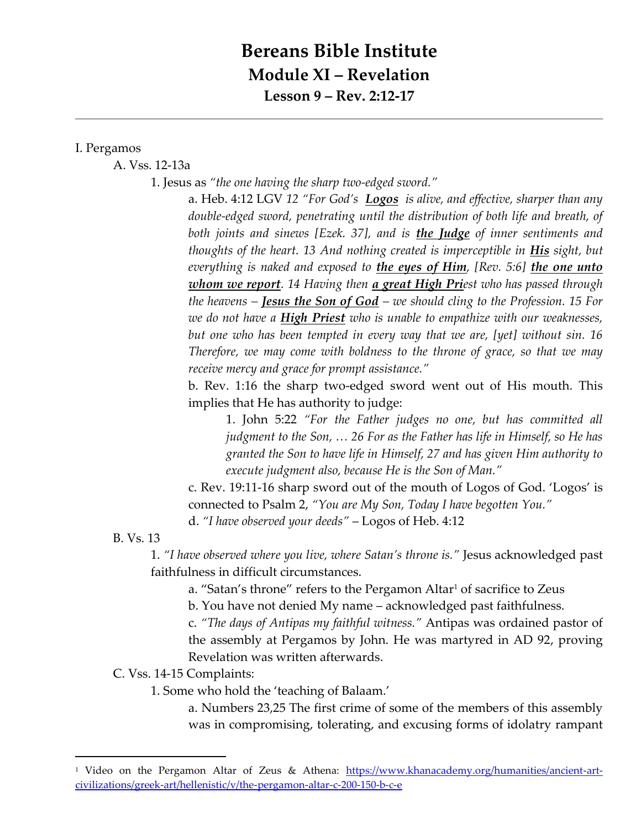## **Bereans Bible Institute Module XI – Revelation Lesson 9 – Rev. 2:12-17**

## I. Pergamos

A. Vss. 12-13a

1. Jesus as *"the one having the sharp two-edged sword."*

a. Heb. 4:12 LGV *12 "For God's Logos is alive, and effective, sharper than any double-edged sword, penetrating until the distribution of both life and breath, of both joints and sinews [Ezek. 37], and is the Judge of inner sentiments and thoughts of the heart. 13 And nothing created is imperceptible in His sight, but everything is naked and exposed to the eyes of Him, [Rev. 5:6] the one unto whom we report. 14 Having then a great High Priest who has passed through the heavens – Jesus the Son of God – we should cling to the Profession. 15 For we do not have a High Priest who is unable to empathize with our weaknesses, but one who has been tempted in every way that we are, [yet] without sin. 16 Therefore, we may come with boldness to the throne of grace, so that we may receive mercy and grace for prompt assistance."*

b. Rev. 1:16 the sharp two-edged sword went out of His mouth. This implies that He has authority to judge:

1. John 5:22 *"For the Father judges no one, but has committed all judgment to the Son, … 26 For as the Father has life in Himself, so He has granted the Son to have life in Himself, 27 and has given Him authority to execute judgment also, because He is the Son of Man."*

c. Rev. 19:11-16 sharp sword out of the mouth of Logos of God. 'Logos' is connected to Psalm 2, *"You are My Son, Today I have begotten You."*

d. *"I have observed your deeds"* – Logos of Heb. 4:12

B. Vs. 13

 $\overline{a}$ 

1. *"I have observed where you live, where Satan's throne is."* Jesus acknowledged past faithfulness in difficult circumstances.

a. "Satan's throne" refers to the Pergamon Altar<sup>1</sup> of sacrifice to Zeus

b. You have not denied My name – acknowledged past faithfulness.

c. *"The days of Antipas my faithful witness."* Antipas was ordained pastor of the assembly at Pergamos by John. He was martyred in AD 92, proving Revelation was written afterwards.

C. Vss. 14-15 Complaints:

1. Some who hold the 'teaching of Balaam.'

a. Numbers 23,25 The first crime of some of the members of this assembly was in compromising, tolerating, and excusing forms of idolatry rampant

<sup>&</sup>lt;sup>1</sup> Video on the Pergamon Altar of Zeus & Athena: [https://www.khanacademy.org/humanities/ancient-art](https://www.khanacademy.org/humanities/ancient-art-civilizations/greek-art/hellenistic/v/the-pergamon-altar-c-200-150-b-c-e)[civilizations/greek-art/hellenistic/v/the-pergamon-altar-c-200-150-b-c-e](https://www.khanacademy.org/humanities/ancient-art-civilizations/greek-art/hellenistic/v/the-pergamon-altar-c-200-150-b-c-e)